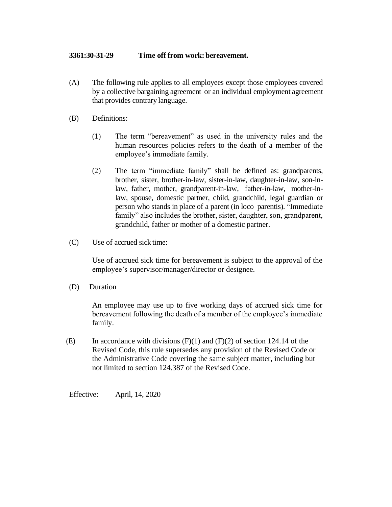## **3361:30-31-29 Time off from work: bereavement.**

- (A) The following rule applies to all employees except those employees covered by a collective bargaining agreement or an individual employment agreement that provides contrary language.
- (B) Definitions:
	- (1) The term "bereavement" as used in the university rules and the human resources policies refers to the death of a member of the employee's immediate family.
	- (2) The term "immediate family" shall be defined as: grandparents, brother, sister, brother-in-law, sister-in-law, daughter-in-law, son-inlaw, father, mother, grandparent-in-law, father-in-law, mother-inlaw, spouse, domestic partner, child, grandchild, legal guardian or person who stands in place of a parent (in loco parentis). "Immediate family" also includes the brother, sister, daughter, son, grandparent, grandchild, father or mother of a domestic partner.
- (C) Use of accrued sick time:

Use of accrued sick time for bereavement is subject to the approval of the employee's supervisor/manager/director or designee.

(D) Duration

An employee may use up to five working days of accrued sick time for bereavement following the death of a member of the employee's immediate family.

(E) In accordance with divisions  $(F)(1)$  and  $(F)(2)$  of section 124.14 of the Revised Code, this rule supersedes any provision of the Revised Code or the Administrative Code covering the same subject matter, including but not limited to section 124.387 of the Revised Code.

Effective: April, 14, 2020